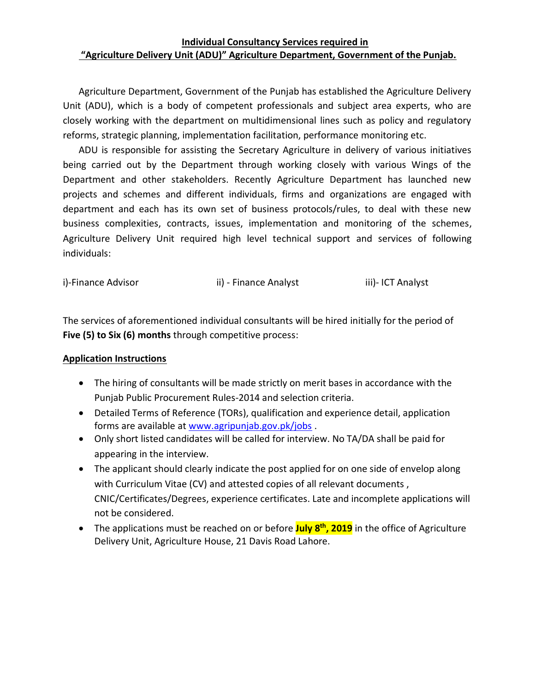### **Individual Consultancy Services required in "Agriculture Delivery Unit (ADU)" Agriculture Department, Government of the Punjab.**

Agriculture Department, Government of the Punjab has established the Agriculture Delivery Unit (ADU), which is a body of competent professionals and subject area experts, who are closely working with the department on multidimensional lines such as policy and regulatory reforms, strategic planning, implementation facilitation, performance monitoring etc.

ADU is responsible for assisting the Secretary Agriculture in delivery of various initiatives being carried out by the Department through working closely with various Wings of the Department and other stakeholders. Recently Agriculture Department has launched new projects and schemes and different individuals, firms and organizations are engaged with department and each has its own set of business protocols/rules, to deal with these new business complexities, contracts, issues, implementation and monitoring of the schemes, Agriculture Delivery Unit required high level technical support and services of following individuals:

| i)-Finance Advisor | ii) - Finance Analyst | iii)- ICT Analyst |
|--------------------|-----------------------|-------------------|
|                    |                       |                   |

The services of aforementioned individual consultants will be hired initially for the period of **Five (5) to Six (6) months** through competitive process:

# **Application Instructions**

- The hiring of consultants will be made strictly on merit bases in accordance with the Punjab Public Procurement Rules-2014 and selection criteria.
- Detailed Terms of Reference (TORs), qualification and experience detail, application forms are available at [www.agripunjab.gov.pk/jobs](http://www.agripunjab.gov.pk/jobs) .
- Only short listed candidates will be called for interview. No TA/DA shall be paid for appearing in the interview.
- The applicant should clearly indicate the post applied for on one side of envelop along with Curriculum Vitae (CV) and attested copies of all relevant documents , CNIC/Certificates/Degrees, experience certificates. Late and incomplete applications will not be considered.
- The applications must be reached on or before **July 8 th, 2019** in the office of Agriculture Delivery Unit, Agriculture House, 21 Davis Road Lahore.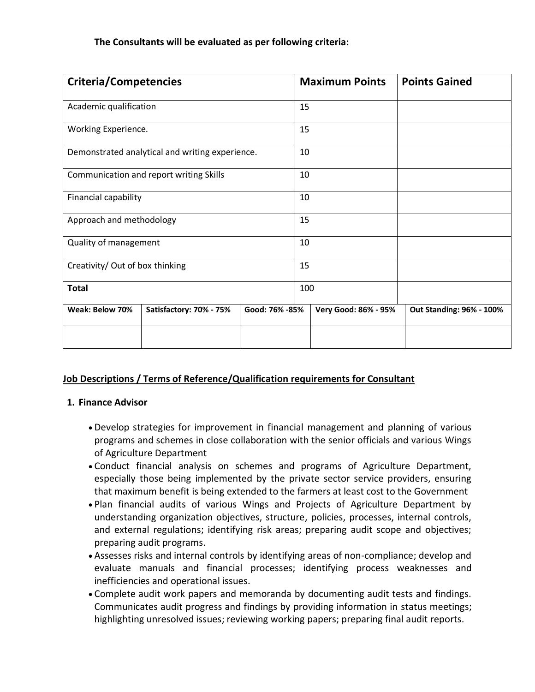| <b>Criteria/Competencies</b>                    |                         |                | <b>Maximum Points</b> |                      | <b>Points Gained</b>     |
|-------------------------------------------------|-------------------------|----------------|-----------------------|----------------------|--------------------------|
| Academic qualification                          |                         |                | 15                    |                      |                          |
| Working Experience.                             |                         |                | 15                    |                      |                          |
| Demonstrated analytical and writing experience. |                         |                | 10                    |                      |                          |
| Communication and report writing Skills         |                         |                | 10                    |                      |                          |
| Financial capability                            |                         |                | 10                    |                      |                          |
| Approach and methodology                        |                         |                | 15                    |                      |                          |
| Quality of management                           |                         |                | 10                    |                      |                          |
| Creativity/ Out of box thinking                 |                         |                | 15                    |                      |                          |
| <b>Total</b>                                    |                         | 100            |                       |                      |                          |
| Weak: Below 70%                                 | Satisfactory: 70% - 75% | Good: 76% -85% |                       | Very Good: 86% - 95% | Out Standing: 96% - 100% |
|                                                 |                         |                |                       |                      |                          |

# **Job Descriptions / Terms of Reference/Qualification requirements for Consultant**

# **1. Finance Advisor**

- Develop strategies for improvement in financial management and planning of various programs and schemes in close collaboration with the senior officials and various Wings of Agriculture Department
- Conduct financial analysis on schemes and programs of Agriculture Department, especially those being implemented by the private sector service providers, ensuring that maximum benefit is being extended to the farmers at least cost to the Government
- Plan financial audits of various Wings and Projects of Agriculture Department by understanding organization objectives, structure, policies, processes, internal controls, and external regulations; identifying risk areas; preparing audit scope and objectives; preparing audit programs.
- Assesses risks and internal controls by identifying areas of non-compliance; develop and evaluate manuals and financial processes; identifying process weaknesses and inefficiencies and operational issues.
- Complete audit work papers and memoranda by documenting audit tests and findings. Communicates audit progress and findings by providing information in status meetings; highlighting unresolved issues; reviewing working papers; preparing final audit reports.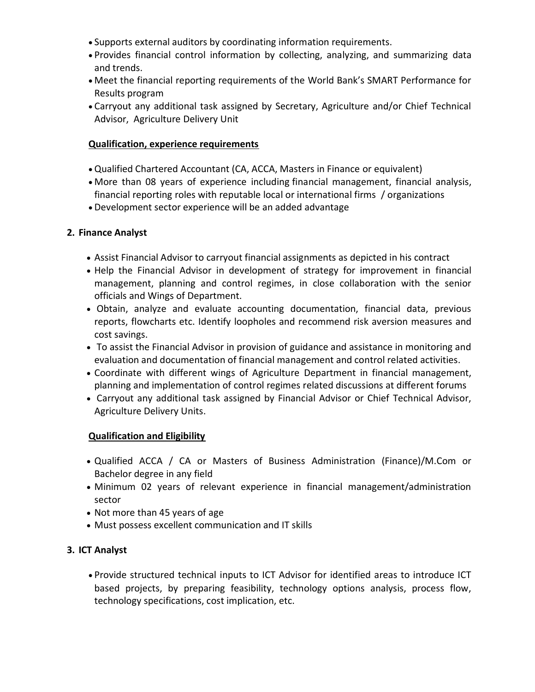- Supports external auditors by coordinating information requirements.
- Provides financial control information by collecting, analyzing, and summarizing data and trends.
- Meet the financial reporting requirements of the World Bank's SMART Performance for Results program
- Carryout any additional task assigned by Secretary, Agriculture and/or Chief Technical Advisor, Agriculture Delivery Unit

### **Qualification, experience requirements**

- Qualified Chartered Accountant (CA, ACCA, Masters in Finance or equivalent)
- More than 08 years of experience including financial management, financial analysis, financial reporting roles with reputable local or international firms / organizations
- Development sector experience will be an added advantage

### **2. Finance Analyst**

- Assist Financial Advisor to carryout financial assignments as depicted in his contract
- Help the Financial Advisor in development of strategy for improvement in financial management, planning and control regimes, in close collaboration with the senior officials and Wings of Department.
- Obtain, analyze and evaluate accounting documentation, financial data, previous reports, flowcharts etc. Identify loopholes and recommend risk aversion measures and cost savings.
- To assist the Financial Advisor in provision of guidance and assistance in monitoring and evaluation and documentation of financial management and control related activities.
- Coordinate with different wings of Agriculture Department in financial management, planning and implementation of control regimes related discussions at different forums
- Carryout any additional task assigned by Financial Advisor or Chief Technical Advisor, Agriculture Delivery Units.

# **Qualification and Eligibility**

- Qualified ACCA / CA or Masters of Business Administration (Finance)/M.Com or Bachelor degree in any field
- Minimum 02 years of relevant experience in financial management/administration sector
- Not more than 45 years of age
- Must possess excellent communication and IT skills

# **3. ICT Analyst**

 Provide structured technical inputs to ICT Advisor for identified areas to introduce ICT based projects, by preparing feasibility, technology options analysis, process flow, technology specifications, cost implication, etc.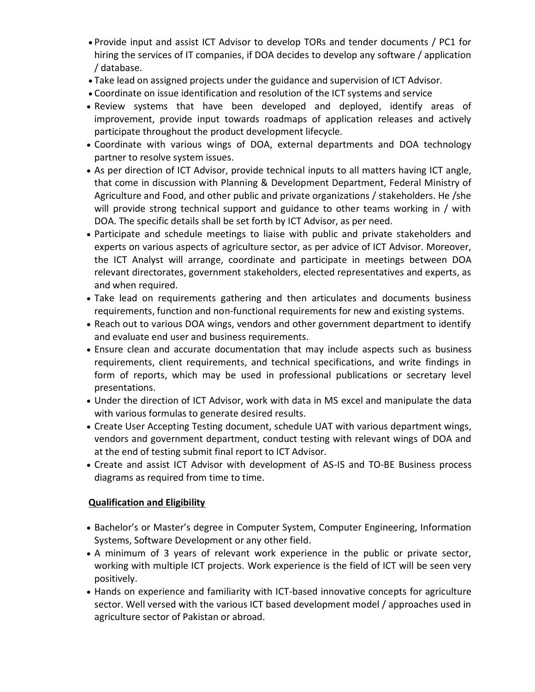- Provide input and assist ICT Advisor to develop TORs and tender documents / PC1 for hiring the services of IT companies, if DOA decides to develop any software / application / database.
- Take lead on assigned projects under the guidance and supervision of ICT Advisor.
- Coordinate on issue identification and resolution of the ICT systems and service
- Review systems that have been developed and deployed, identify areas of improvement, provide input towards roadmaps of application releases and actively participate throughout the product development lifecycle.
- Coordinate with various wings of DOA, external departments and DOA technology partner to resolve system issues.
- As per direction of ICT Advisor, provide technical inputs to all matters having ICT angle, that come in discussion with Planning & Development Department, Federal Ministry of Agriculture and Food, and other public and private organizations / stakeholders. He /she will provide strong technical support and guidance to other teams working in / with DOA. The specific details shall be set forth by ICT Advisor, as per need.
- Participate and schedule meetings to liaise with public and private stakeholders and experts on various aspects of agriculture sector, as per advice of ICT Advisor. Moreover, the ICT Analyst will arrange, coordinate and participate in meetings between DOA relevant directorates, government stakeholders, elected representatives and experts, as and when required.
- Take lead on requirements gathering and then articulates and documents business requirements, function and non-functional requirements for new and existing systems.
- Reach out to various DOA wings, vendors and other government department to identify and evaluate end user and business requirements.
- Ensure clean and accurate documentation that may include aspects such as business requirements, client requirements, and technical specifications, and write findings in form of reports, which may be used in professional publications or secretary level presentations.
- Under the direction of ICT Advisor, work with data in MS excel and manipulate the data with various formulas to generate desired results.
- Create User Accepting Testing document, schedule UAT with various department wings, vendors and government department, conduct testing with relevant wings of DOA and at the end of testing submit final report to ICT Advisor.
- Create and assist ICT Advisor with development of AS-IS and TO-BE Business process diagrams as required from time to time.

# **Qualification and Eligibility**

- Bachelor's or Master's degree in Computer System, Computer Engineering, Information Systems, Software Development or any other field.
- A minimum of 3 years of relevant work experience in the public or private sector, working with multiple ICT projects. Work experience is the field of ICT will be seen very positively.
- Hands on experience and familiarity with ICT-based innovative concepts for agriculture sector. Well versed with the various ICT based development model / approaches used in agriculture sector of Pakistan or abroad.